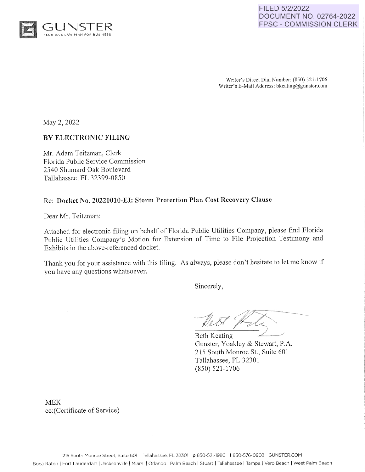

## FILED 5/2/2022 DOCUMENT NO. 02764-2022 FPSC - COMMISSION CLERK

Writer's Direct Dial Number: (850) 521-1706 Writer's E-Mail Address: bkeating@gunster.com

May 2, 2022

## **BY ELECTRONIC FILING**

Mr. Adam Teitzman, Clerk Florida Public Service Commission 2540 Shumard Oak Boulevard Tallahassee, FL 32399-0850

#### Re: **Docket No. 20220010-EI: Storm Protection Plan Cost Recovery Clause**

Dear Mr. Teitzman:

Attached for electronic filing on behalf of Florida Public Utilities Company, please find Florida Public Utilities Company's Motion for Extension of Time to File Projection Testimony and Exhibits in the above-referenced docket.

Thank you for your assistance with this filing. As always, please don't hesitate to let me know if you have any questions whatsoever.

Sincerely,

Beth Keating Gunster, Yoakley & Stewart, P.A. 215 South Monroe St., Suite 601 Tallahassee, FL 32301 (850) 521-1706

MEK cc:(Certificate of Service)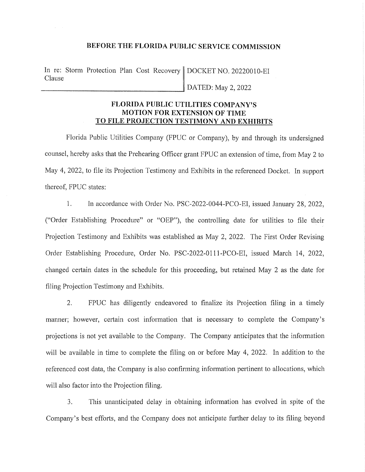## **BEFORE THE FLORIDA PUBLIC SERVICE COMMISSION**

In re: Storm Protection Plan Cost Recovery DOCKET NO. 20220010-EI Clause DATED: May 2, 2022

> **FLORIDA PUBLIC UTILITIES COMPANY'S MOTION FOR EXTENSION OF TIME TO FILE PROJECTION TESTIMONY AND EXHIBITS**

Florida Public Utilities Company (FPUC or Company), by and through its undersigned counsel, hereby asks that the Prehearing Officer grant FPUC an extension of time, from May 2 to May 4, 2022, to file its Projection Testimony and Exhibits in the referenced Docket. In support thereof, FPUC states:

1. In accordance with Order No. PSC-2022-0044-PCO-EI, issued January 28, 2022, ("Order Establishing Procedure" or "OEP"), the controlling date for utilities to file their Projection Testimony and Exhibits was established as May 2, 2022. The First Order Revising Order Establishing Procedure, Order No. PSC-2022-0111-PCO-EI, issued March 14, 2022, changed certain dates in the schedule for this proceeding, but retained May 2 as the date for filing Projection Testimony and Exhibits.

2. FPUC has diligently endeavored to finalize its Projection filing in a timely manner; however, certain cost information that is necessary to complete the Company's projections is not yet available to the Company. The Company anticipates that the information will be available in time to complete the filing on or before May 4, 2022. In addition to the referenced cost data, the Company is also confirming information pertinent to allocations, which will also factor into the Projection filing.

3. This unanticipated delay in obtaining information has evolved in spite of the Company's best efforts, and the Company does not anticipate further delay to its filing beyond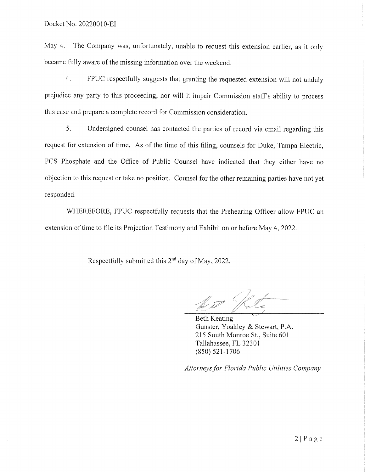May 4. The Company was, unfortunately, unable to request this extension earlier, as it only became fully aware of the missing information over the weekend.

4. FPUC respectfully suggests that granting the requested extension will not unduly prejudice any party to this proceeding, nor will it impair Commission staffs ability to process this case and prepare a complete record for Commission consideration.

5. Undersigned counsel has contacted the parties of record via email regarding this request for extension of time. As of the time of this filing, counsels for Duke, Tampa Electric, PCS Phosphate and the Office of Public Counsel have indicated that they either have no objection to this request or take no position. Counsel for the other remaining parties have not yet responded.

WHEREFORE, FPUC respectfully requests that the Prehearing Officer allow FPUC an extension of time to file its Projection Testimony and Exhibit on or before May 4, 2022.

Respectfully submitted this  $2<sup>nd</sup>$  day of May, 2022.

Beth Keating Gunster, Yoakley & Stewart, P.A. 215 South Monroe St., Suite 601 Tallahassee, FL 32301 (850) 521-1706

*Attorneys for Florida Public Utilities Company*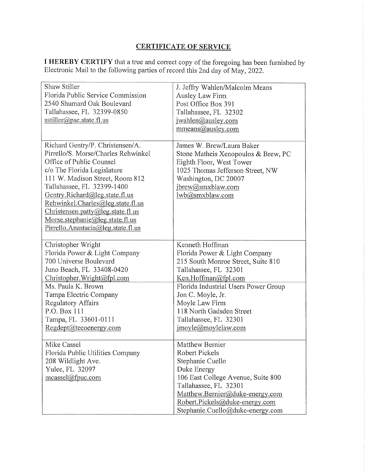# **CERTIFICATE OF SERVICE**

**I HEREBY CERTIFY** that a true and correct copy of the foregoing has been furnished by Electronic Mail to the following parties of record this 2nd day of May, 2022.

| Shaw Stiller<br>Florida Public Service Commission<br>2540 Shumard Oak Boulevard<br>Tallahassee, FL 32399-0850<br>sstiller@psc.state.fl.us                                                                                                                                                                                                                                                | J. Jeffry Wahlen/Malcolm Means<br>Ausley Law Firm<br>Post Office Box 391<br>Tallahassee, FL 32302<br>jwahlen@ausley.com<br>mmeans@ausley.com                                                                                                                                                      |
|------------------------------------------------------------------------------------------------------------------------------------------------------------------------------------------------------------------------------------------------------------------------------------------------------------------------------------------------------------------------------------------|---------------------------------------------------------------------------------------------------------------------------------------------------------------------------------------------------------------------------------------------------------------------------------------------------|
| Richard Gentry/P. Christensen/A.<br>Pirrello/S. Morse/Charles Rehwinkel<br>Office of Public Counsel<br>c/o The Florida Legislature<br>111 W. Madison Street, Room 812<br>Tallahassee, FL 32399-1400<br>Gentry.Richard@leg.state.fl.us<br>Rehwinkel.Charles@leg.state.fl.us<br>Christensen.path@leg.state.fl.us<br>Morse.stephanie@leg.state.fl.us<br>Pirrello.Anastacia@leg. state.fl.us | James W. Brew/Laura Baker<br>Stone Matheis Xenopoulos & Brew, PC<br>Eighth Floor, West Tower<br>1025 Thomas Jefferson Street, NW<br>Washington, DC 20007<br>jbrew@smxblaw.com<br>lwb@smxblaw.com                                                                                                  |
| Christopher Wright<br>Florida Power & Light Company<br>700 Universe Boulevard<br>Juno Beach, FL 33408-0420<br>Christopher. Wright@fpl.com<br>Ms. Paula K. Brown<br>Tampa Electric Company<br><b>Regulatory Affairs</b><br>P.O. Box 111<br>Tampa, FL 33601-0111<br>Regdept@tecoenergy.com                                                                                                 | Kenneth Hoffman<br>Florida Power & Light Company<br>215 South Monroe Street, Suite 810<br>Tallahassee, FL 32301<br>Ken.Hoffman@fpl.com<br>Florida Industrial Users Power Group<br>Jon C. Moyle, Jr.<br>Moyle Law Firm<br>118 North Gadsden Street<br>Tallahassee, FL 32301<br>jmoyle@moylelaw.com |
| Mike Cassel<br>Florida Public Utilities Company<br>208 Wildlight Ave.<br>Yulee, FL 32097<br>$measured$ <i>(a)</i> fpuc.com                                                                                                                                                                                                                                                               | Matthew Bernier<br>Robert Pickels<br>Stephanie Cuello<br>Duke Energy<br>106 East College Avenue, Suite 800<br>Tallahassee, FL 32301<br>Matthew.Bernier@duke-energy.com<br>Robert.Pickels@duke-energy.com<br>Stephanie.Cuello@duke-energy.com                                                      |